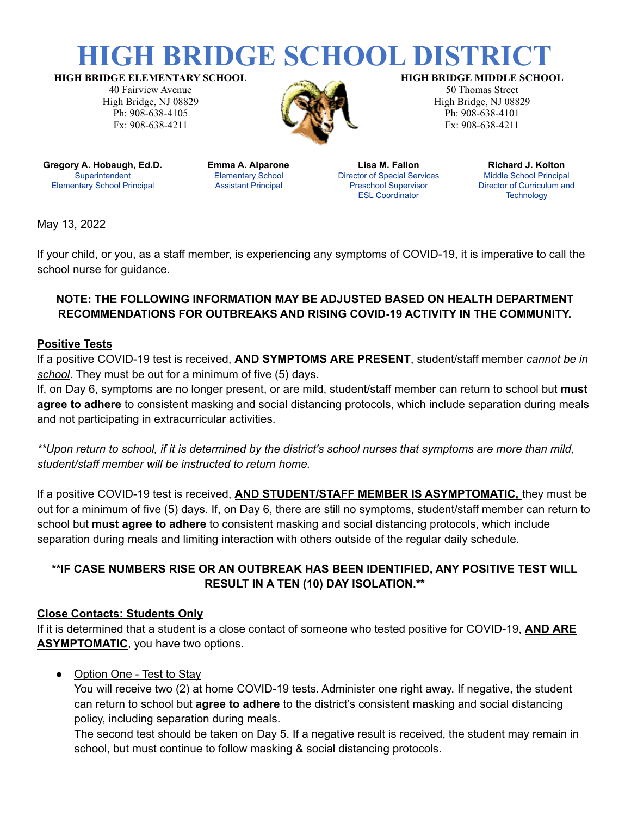# **HIGH BRIDGE SCHOOL DISTRIC**

**HIGH BRIDGE ELEMENTARY SCHOOL**

40 Fairview Avenue High Bridge, NJ 08829 Ph: 908-638-4105 Fx: 908-638-4211



#### **HIGH BRIDGE MIDDLE SCHOOL**

50 Thomas Street High Bridge, NJ 08829 Ph: 908-638-4101 Fx: 908-638-4211

**Gregory A. Hobaugh, Ed.D. Superintendent** Elementary School Principal

**Emma A. Alparone** Elementary School Assistant Principal

**Lisa M. Fallon** Director of Special Services Preschool Supervisor ESL Coordinator

**Richard J. Kolton** Middle School Principal Director of Curriculum and **Technology** 

May 13, 2022

If your child, or you, as a staff member, is experiencing any symptoms of COVID-19, it is imperative to call the school nurse for guidance.

# **NOTE: THE FOLLOWING INFORMATION MAY BE ADJUSTED BASED ON HEALTH DEPARTMENT RECOMMENDATIONS FOR OUTBREAKS AND RISING COVID-19 ACTIVITY IN THE COMMUNITY.**

#### **Positive Tests**

If a positive COVID-19 test is received, **AND SYMPTOMS ARE PRESENT**, student/staff member *cannot be in school*. They must be out for a minimum of five (5) days.

If, on Day 6, symptoms are no longer present, or are mild, student/staff member can return to school but **must agree to adhere** to consistent masking and social distancing protocols, which include separation during meals and not participating in extracurricular activities.

\*\*Upon return to school, if it is determined by the district's school nurses that symptoms are more than mild, *student/staff member will be instructed to return home.*

If a positive COVID-19 test is received, **AND STUDENT/STAFF MEMBER IS ASYMPTOMATIC,** they must be out for a minimum of five (5) days. If, on Day 6, there are still no symptoms, student/staff member can return to school but **must agree to adhere** to consistent masking and social distancing protocols, which include separation during meals and limiting interaction with others outside of the regular daily schedule.

# **\*\*IF CASE NUMBERS RISE OR AN OUTBREAK HAS BEEN IDENTIFIED, ANY POSITIVE TEST WILL RESULT IN A TEN (10) DAY ISOLATION.\*\***

### **Close Contacts: Students Only**

If it is determined that a student is a close contact of someone who tested positive for COVID-19, **AND ARE ASYMPTOMATIC**, you have two options.

### • Option One - Test to Stay

You will receive two (2) at home COVID-19 tests. Administer one right away. If negative, the student can return to school but **agree to adhere** to the district's consistent masking and social distancing policy, including separation during meals.

The second test should be taken on Day 5. If a negative result is received, the student may remain in school, but must continue to follow masking & social distancing protocols.